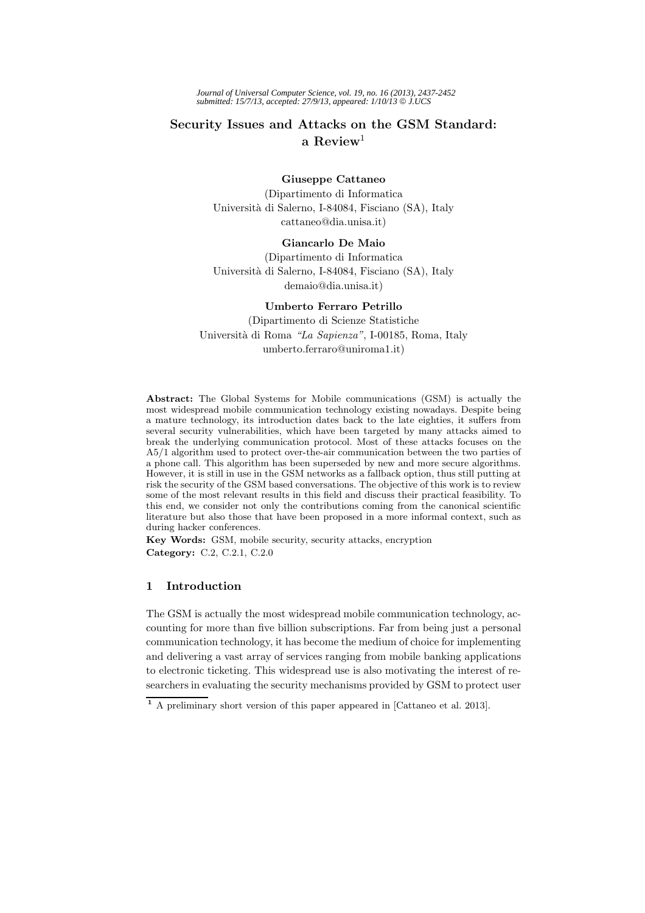*Journal of Universal Computer Science, vol. 19, no. 16 (2013), 2437-2452 submitted: 15/7/13, accepted: 27/9/13, appeared: 1/10/13* © *J.UCS*

# **Security Issues and Attacks on the GSM Standard: a Review**<sup>1</sup>

### **Giuseppe Cattaneo**

(Dipartimento di Informatica Universit`a di Salerno, I-84084, Fisciano (SA), Italy cattaneo@dia.unisa.it)

# **Giancarlo De Maio**

(Dipartimento di Informatica Universit`a di Salerno, I-84084, Fisciano (SA), Italy demaio@dia.unisa.it)

### **Umberto Ferraro Petrillo**

(Dipartimento di Scienze Statistiche Universit`a di Roma *"La Sapienza"*, I-00185, Roma, Italy umberto.ferraro@uniroma1.it)

**Abstract:** The Global Systems for Mobile communications (GSM) is actually the most widespread mobile communication technology existing nowadays. Despite being a mature technology, its introduction dates back to the late eighties, it suffers from several security vulnerabilities, which have been targeted by many attacks aimed to break the underlying communication protocol. Most of these attacks focuses on the A5/1 algorithm used to protect over-the-air communication between the two parties of a phone call. This algorithm has been superseded by new and more secure algorithms. However, it is still in use in the GSM networks as a fallback option, thus still putting at risk the security of the GSM based conversations. The objective of this work is to review some of the most relevant results in this field and discuss their practical feasibility. To this end, we consider not only the contributions coming from the canonical scientific literature but also those that have been proposed in a more informal context, such as during hacker conferences.

**Key Words:** GSM, mobile security, security attacks, encryption **Category:** C.2, C.2.1, C.2.0

# **1 Introduction**

The GSM is actually the most widespread mobile communication technology, accounting for more than five billion subscriptions. Far from being just a personal communication technology, it has become the medium of choice for implementing and delivering a vast array of services ranging from mobile banking applications to electronic ticketing. This widespread use is also motivating the interest of researchers in evaluating the security mechanisms provided by GSM to protect user

**<sup>1</sup>** A preliminary short version of this paper appeared in [Cattaneo et al. 2013].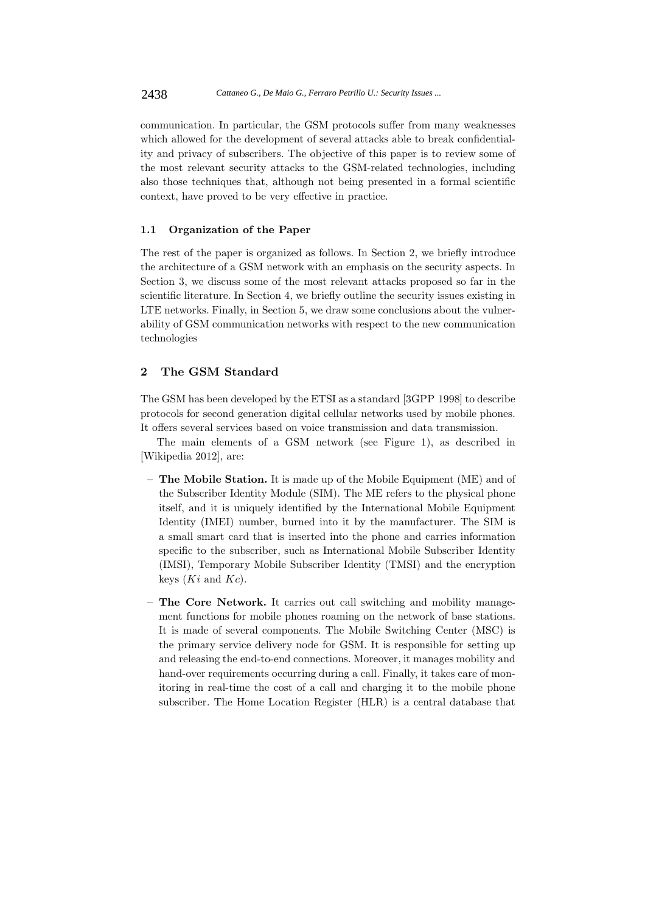communication. In particular, the GSM protocols suffer from many weaknesses which allowed for the development of several attacks able to break confidentiality and privacy of subscribers. The objective of this paper is to review some of the most relevant security attacks to the GSM-related technologies, including also those techniques that, although not being presented in a formal scientific context, have proved to be very effective in practice.

## **1.1 Organization of the Paper**

The rest of the paper is organized as follows. In Section 2, we briefly introduce the architecture of a GSM network with an emphasis on the security aspects. In Section 3, we discuss some of the most relevant attacks proposed so far in the scientific literature. In Section 4, we briefly outline the security issues existing in LTE networks. Finally, in Section 5, we draw some conclusions about the vulnerability of GSM communication networks with respect to the new communication technologies

### **2 The GSM Standard**

The GSM has been developed by the ETSI as a standard [3GPP 1998] to describe protocols for second generation digital cellular networks used by mobile phones. It offers several services based on voice transmission and data transmission.

The main elements of a GSM network (see Figure 1), as described in [Wikipedia 2012], are:

- **The Mobile Station.** It is made up of the Mobile Equipment (ME) and of the Subscriber Identity Module (SIM). The ME refers to the physical phone itself, and it is uniquely identified by the International Mobile Equipment Identity (IMEI) number, burned into it by the manufacturer. The SIM is a small smart card that is inserted into the phone and carries information specific to the subscriber, such as International Mobile Subscriber Identity (IMSI), Temporary Mobile Subscriber Identity (TMSI) and the encryption keys (*Ki* and *Kc*).
- **The Core Network.** It carries out call switching and mobility management functions for mobile phones roaming on the network of base stations. It is made of several components. The Mobile Switching Center (MSC) is the primary service delivery node for GSM. It is responsible for setting up and releasing the end-to-end connections. Moreover, it manages mobility and hand-over requirements occurring during a call. Finally, it takes care of monitoring in real-time the cost of a call and charging it to the mobile phone subscriber. The Home Location Register (HLR) is a central database that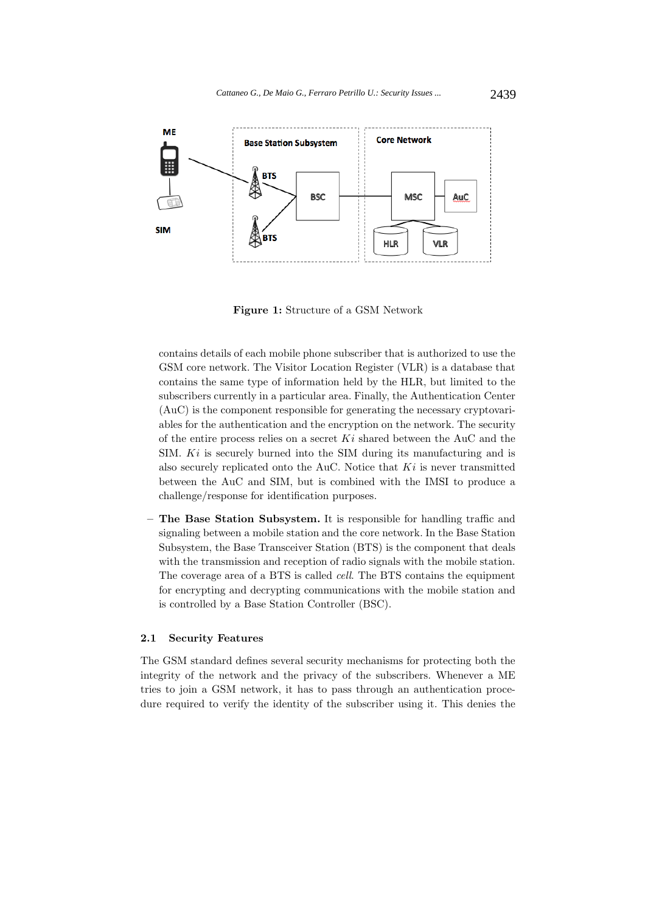

**Figure 1:** Structure of a GSM Network

contains details of each mobile phone subscriber that is authorized to use the GSM core network. The Visitor Location Register (VLR) is a database that contains the same type of information held by the HLR, but limited to the subscribers currently in a particular area. Finally, the Authentication Center (AuC) is the component responsible for generating the necessary cryptovariables for the authentication and the encryption on the network. The security of the entire process relies on a secret *Ki* shared between the AuC and the SIM. *Ki* is securely burned into the SIM during its manufacturing and is also securely replicated onto the AuC. Notice that *Ki* is never transmitted between the AuC and SIM, but is combined with the IMSI to produce a challenge/response for identification purposes.

**– The Base Station Subsystem.** It is responsible for handling traffic and signaling between a mobile station and the core network. In the Base Station Subsystem, the Base Transceiver Station (BTS) is the component that deals with the transmission and reception of radio signals with the mobile station. The coverage area of a BTS is called *cell*. The BTS contains the equipment for encrypting and decrypting communications with the mobile station and is controlled by a Base Station Controller (BSC).

## **2.1 Security Features**

The GSM standard defines several security mechanisms for protecting both the integrity of the network and the privacy of the subscribers. Whenever a ME tries to join a GSM network, it has to pass through an authentication procedure required to verify the identity of the subscriber using it. This denies the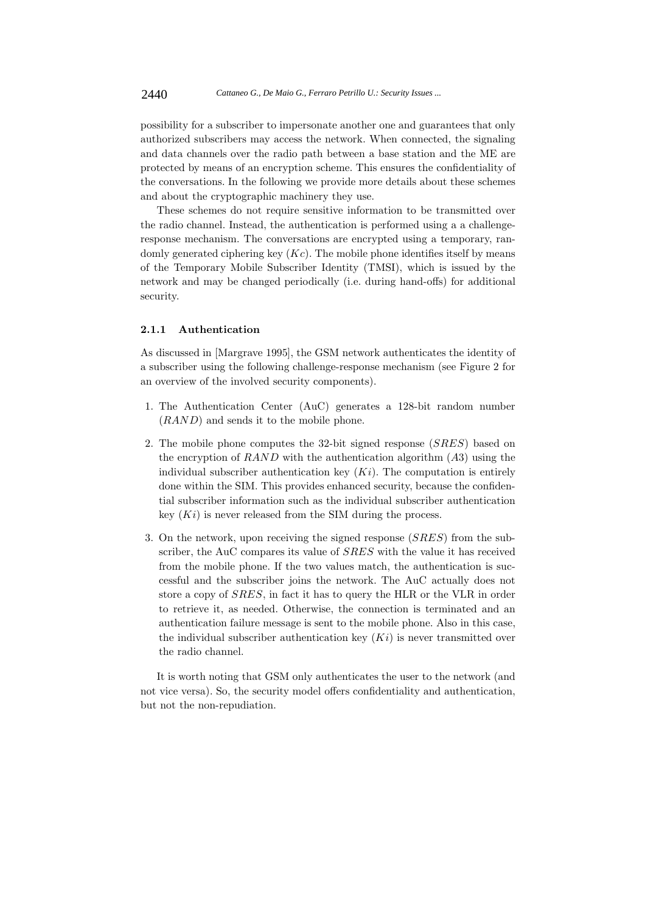possibility for a subscriber to impersonate another one and guarantees that only authorized subscribers may access the network. When connected, the signaling and data channels over the radio path between a base station and the ME are protected by means of an encryption scheme. This ensures the confidentiality of the conversations. In the following we provide more details about these schemes and about the cryptographic machinery they use.

These schemes do not require sensitive information to be transmitted over the radio channel. Instead, the authentication is performed using a a challengeresponse mechanism. The conversations are encrypted using a temporary, randomly generated ciphering key (*Kc*). The mobile phone identifies itself by means of the Temporary Mobile Subscriber Identity (TMSI), which is issued by the network and may be changed periodically (i.e. during hand-offs) for additional security.

# **2.1.1 Authentication**

As discussed in [Margrave 1995], the GSM network authenticates the identity of a subscriber using the following challenge-response mechanism (see Figure 2 for an overview of the involved security components).

- 1. The Authentication Center (AuC) generates a 128-bit random number (*RAND*) and sends it to the mobile phone.
- 2. The mobile phone computes the 32-bit signed response (*SRES*) based on the encryption of *RAND* with the authentication algorithm (*A*3) using the individual subscriber authentication key  $(K<sub>i</sub>)$ . The computation is entirely done within the SIM. This provides enhanced security, because the confidential subscriber information such as the individual subscriber authentication key (*Ki*) is never released from the SIM during the process.
- 3. On the network, upon receiving the signed response (*SRES*) from the subscriber, the AuC compares its value of *SRES* with the value it has received from the mobile phone. If the two values match, the authentication is successful and the subscriber joins the network. The AuC actually does not store a copy of *SRES*, in fact it has to query the HLR or the VLR in order to retrieve it, as needed. Otherwise, the connection is terminated and an authentication failure message is sent to the mobile phone. Also in this case, the individual subscriber authentication key  $(Ki)$  is never transmitted over the radio channel.

It is worth noting that GSM only authenticates the user to the network (and not vice versa). So, the security model offers confidentiality and authentication, but not the non-repudiation.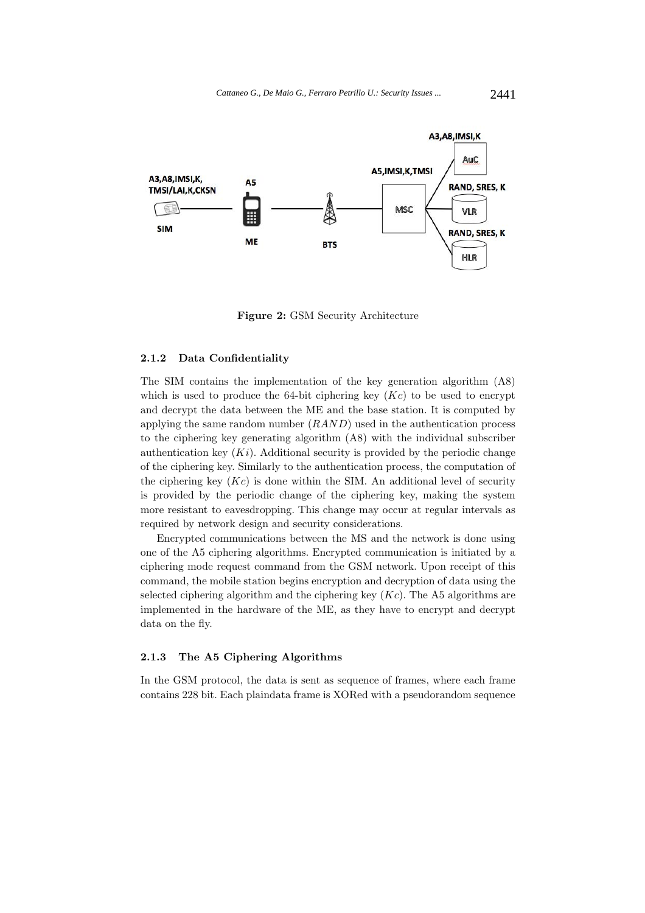

**Figure 2:** GSM Security Architecture

#### **2.1.2 Data Confidentiality**

The SIM contains the implementation of the key generation algorithm (A8) which is used to produce the  $64$ -bit ciphering key  $(Kc)$  to be used to encrypt and decrypt the data between the ME and the base station. It is computed by applying the same random number (*RAND*) used in the authentication process to the ciphering key generating algorithm (A8) with the individual subscriber authentication key  $(K<sub>i</sub>)$ . Additional security is provided by the periodic change of the ciphering key. Similarly to the authentication process, the computation of the ciphering key  $(Kc)$  is done within the SIM. An additional level of security is provided by the periodic change of the ciphering key, making the system more resistant to eavesdropping. This change may occur at regular intervals as required by network design and security considerations.

Encrypted communications between the MS and the network is done using one of the A5 ciphering algorithms. Encrypted communication is initiated by a ciphering mode request command from the GSM network. Upon receipt of this command, the mobile station begins encryption and decryption of data using the selected ciphering algorithm and the ciphering key (*Kc*). The A5 algorithms are implemented in the hardware of the ME, as they have to encrypt and decrypt data on the fly.

# **2.1.3 The A5 Ciphering Algorithms**

In the GSM protocol, the data is sent as sequence of frames, where each frame contains 228 bit. Each plaindata frame is XORed with a pseudorandom sequence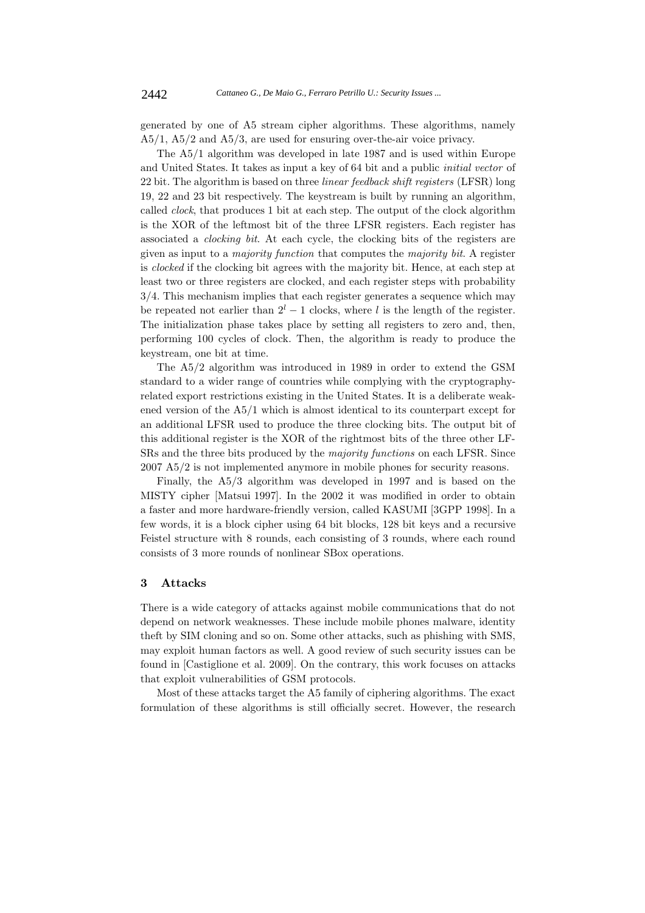generated by one of A5 stream cipher algorithms. These algorithms, namely A5/1, A5/2 and A5/3, are used for ensuring over-the-air voice privacy.

The A5/1 algorithm was developed in late 1987 and is used within Europe and United States. It takes as input a key of 64 bit and a public *initial vector* of 22 bit. The algorithm is based on three *linear feedback shift registers* (LFSR) long 19, 22 and 23 bit respectively. The keystream is built by running an algorithm, called *clock*, that produces 1 bit at each step. The output of the clock algorithm is the XOR of the leftmost bit of the three LFSR registers. Each register has associated a *clocking bit*. At each cycle, the clocking bits of the registers are given as input to a *majority function* that computes the *majority bit*. A register is *clocked* if the clocking bit agrees with the majority bit. Hence, at each step at least two or three registers are clocked, and each register steps with probability 3*/*4. This mechanism implies that each register generates a sequence which may be repeated not earlier than  $2^l - 1$  clocks, where *l* is the length of the register. The initialization phase takes place by setting all registers to zero and, then, performing 100 cycles of clock. Then, the algorithm is ready to produce the keystream, one bit at time.

The A5/2 algorithm was introduced in 1989 in order to extend the GSM standard to a wider range of countries while complying with the cryptographyrelated export restrictions existing in the United States. It is a deliberate weakened version of the A5/1 which is almost identical to its counterpart except for an additional LFSR used to produce the three clocking bits. The output bit of this additional register is the XOR of the rightmost bits of the three other LF-SRs and the three bits produced by the *majority functions* on each LFSR. Since 2007 A5/2 is not implemented anymore in mobile phones for security reasons.

Finally, the A5/3 algorithm was developed in 1997 and is based on the MISTY cipher [Matsui 1997]. In the 2002 it was modified in order to obtain a faster and more hardware-friendly version, called KASUMI [3GPP 1998]. In a few words, it is a block cipher using 64 bit blocks, 128 bit keys and a recursive Feistel structure with 8 rounds, each consisting of 3 rounds, where each round consists of 3 more rounds of nonlinear SBox operations.

#### **3 Attacks**

There is a wide category of attacks against mobile communications that do not depend on network weaknesses. These include mobile phones malware, identity theft by SIM cloning and so on. Some other attacks, such as phishing with SMS, may exploit human factors as well. A good review of such security issues can be found in [Castiglione et al. 2009]. On the contrary, this work focuses on attacks that exploit vulnerabilities of GSM protocols.

Most of these attacks target the A5 family of ciphering algorithms. The exact formulation of these algorithms is still officially secret. However, the research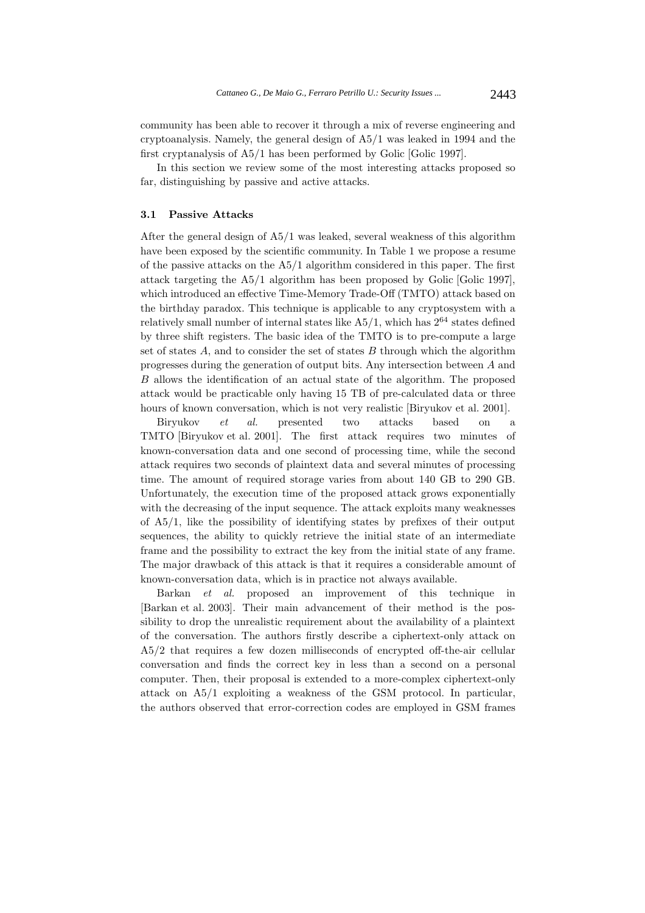community has been able to recover it through a mix of reverse engineering and cryptoanalysis. Namely, the general design of A5/1 was leaked in 1994 and the first cryptanalysis of A5/1 has been performed by Golic [Golic 1997].

In this section we review some of the most interesting attacks proposed so far, distinguishing by passive and active attacks.

### **3.1 Passive Attacks**

After the general design of  $A5/1$  was leaked, several weakness of this algorithm have been exposed by the scientific community. In Table 1 we propose a resume of the passive attacks on the A5/1 algorithm considered in this paper. The first attack targeting the A5/1 algorithm has been proposed by Golic [Golic 1997], which introduced an effective Time-Memory Trade-Off (TMTO) attack based on the birthday paradox. This technique is applicable to any cryptosystem with a relatively small number of internal states like  $A5/1$ , which has  $2^{64}$  states defined by three shift registers. The basic idea of the TMTO is to pre-compute a large set of states *A*, and to consider the set of states *B* through which the algorithm progresses during the generation of output bits. Any intersection between *A* and *B* allows the identification of an actual state of the algorithm. The proposed attack would be practicable only having 15 TB of pre-calculated data or three hours of known conversation, which is not very realistic [Biryukov et al. 2001].

Biryukov *et al.* presented two attacks based on a TMTO [Biryukov et al. 2001]. The first attack requires two minutes of known-conversation data and one second of processing time, while the second attack requires two seconds of plaintext data and several minutes of processing time. The amount of required storage varies from about 140 GB to 290 GB. Unfortunately, the execution time of the proposed attack grows exponentially with the decreasing of the input sequence. The attack exploits many weaknesses of A5/1, like the possibility of identifying states by prefixes of their output sequences, the ability to quickly retrieve the initial state of an intermediate frame and the possibility to extract the key from the initial state of any frame. The major drawback of this attack is that it requires a considerable amount of known-conversation data, which is in practice not always available.

Barkan *et al.* proposed an improvement of this technique in [Barkan et al. 2003]. Their main advancement of their method is the possibility to drop the unrealistic requirement about the availability of a plaintext of the conversation. The authors firstly describe a ciphertext-only attack on A5/2 that requires a few dozen milliseconds of encrypted off-the-air cellular conversation and finds the correct key in less than a second on a personal computer. Then, their proposal is extended to a more-complex ciphertext-only attack on A5/1 exploiting a weakness of the GSM protocol. In particular, the authors observed that error-correction codes are employed in GSM frames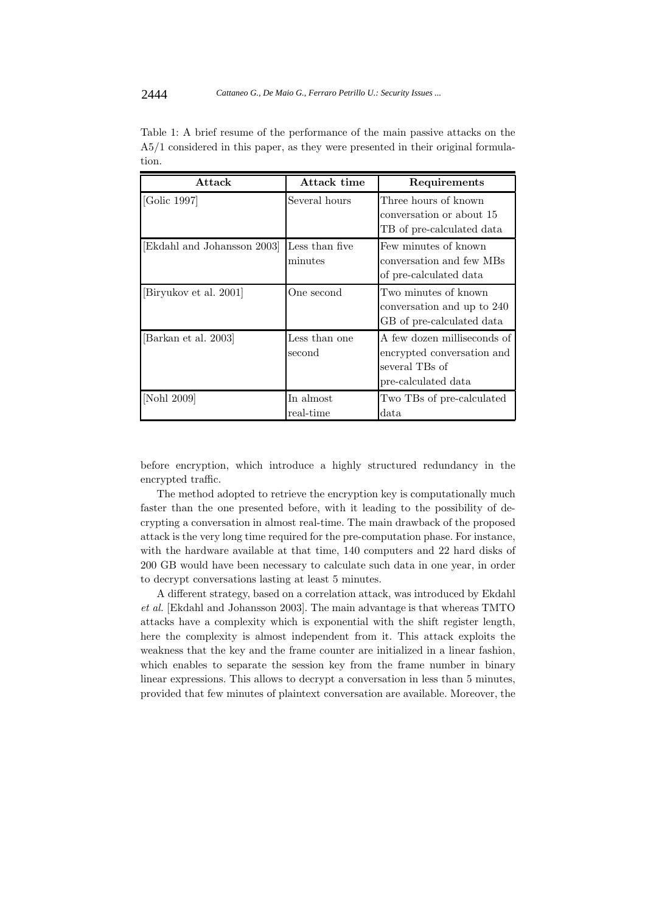| Attack                    | Attack time               | Requirements                                                                                       |
|---------------------------|---------------------------|----------------------------------------------------------------------------------------------------|
| [Golic 1997]              | Several hours             | Three hours of known<br>conversation or about 15<br>TB of pre-calculated data                      |
| Ekdahl and Johansson 2003 | Less than five<br>minutes | Few minutes of known<br>conversation and few MBs<br>of pre-calculated data                         |
| [Biryukov et al. 2001]    | One second                | Two minutes of known<br>conversation and up to 240<br>GB of pre-calculated data                    |
| [Barkan et al. 2003]      | Less than one<br>second   | A few dozen milliseconds of<br>encrypted conversation and<br>several TBs of<br>pre-calculated data |
| [Nohl 2009]               | In almost<br>real-time    | Two TBs of pre-calculated<br>$_{\rm data}$                                                         |

Table 1: A brief resume of the performance of the main passive attacks on the A5/1 considered in this paper, as they were presented in their original formulation.

before encryption, which introduce a highly structured redundancy in the encrypted traffic.

The method adopted to retrieve the encryption key is computationally much faster than the one presented before, with it leading to the possibility of decrypting a conversation in almost real-time. The main drawback of the proposed attack is the very long time required for the pre-computation phase. For instance, with the hardware available at that time, 140 computers and 22 hard disks of 200 GB would have been necessary to calculate such data in one year, in order to decrypt conversations lasting at least 5 minutes.

A different strategy, based on a correlation attack, was introduced by Ekdahl *et al.* [Ekdahl and Johansson 2003]. The main advantage is that whereas TMTO attacks have a complexity which is exponential with the shift register length, here the complexity is almost independent from it. This attack exploits the weakness that the key and the frame counter are initialized in a linear fashion, which enables to separate the session key from the frame number in binary linear expressions. This allows to decrypt a conversation in less than 5 minutes, provided that few minutes of plaintext conversation are available. Moreover, the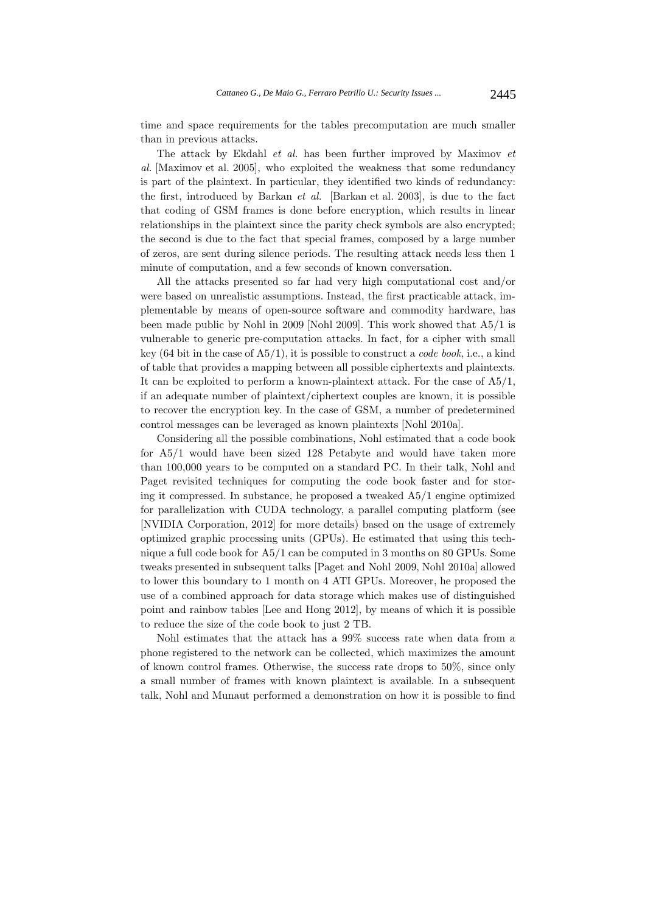time and space requirements for the tables precomputation are much smaller than in previous attacks.

The attack by Ekdahl *et al.* has been further improved by Maximov *et al.* [Maximov et al. 2005], who exploited the weakness that some redundancy is part of the plaintext. In particular, they identified two kinds of redundancy: the first, introduced by Barkan *et al.* [Barkan et al. 2003], is due to the fact that coding of GSM frames is done before encryption, which results in linear relationships in the plaintext since the parity check symbols are also encrypted; the second is due to the fact that special frames, composed by a large number of zeros, are sent during silence periods. The resulting attack needs less then 1 minute of computation, and a few seconds of known conversation.

All the attacks presented so far had very high computational cost and/or were based on unrealistic assumptions. Instead, the first practicable attack, implementable by means of open-source software and commodity hardware, has been made public by Nohl in 2009 [Nohl 2009]. This work showed that A5/1 is vulnerable to generic pre-computation attacks. In fact, for a cipher with small key (64 bit in the case of A5/1), it is possible to construct a *code book*, i.e., a kind of table that provides a mapping between all possible ciphertexts and plaintexts. It can be exploited to perform a known-plaintext attack. For the case of A5/1, if an adequate number of plaintext/ciphertext couples are known, it is possible to recover the encryption key. In the case of GSM, a number of predetermined control messages can be leveraged as known plaintexts [Nohl 2010a].

Considering all the possible combinations, Nohl estimated that a code book for A5/1 would have been sized 128 Petabyte and would have taken more than 100,000 years to be computed on a standard PC. In their talk, Nohl and Paget revisited techniques for computing the code book faster and for storing it compressed. In substance, he proposed a tweaked A5/1 engine optimized for parallelization with CUDA technology, a parallel computing platform (see [NVIDIA Corporation, 2012] for more details) based on the usage of extremely optimized graphic processing units (GPUs). He estimated that using this technique a full code book for A5/1 can be computed in 3 months on 80 GPUs. Some tweaks presented in subsequent talks [Paget and Nohl 2009, Nohl 2010a] allowed to lower this boundary to 1 month on 4 ATI GPUs. Moreover, he proposed the use of a combined approach for data storage which makes use of distinguished point and rainbow tables [Lee and Hong 2012], by means of which it is possible to reduce the size of the code book to just 2 TB.

Nohl estimates that the attack has a 99% success rate when data from a phone registered to the network can be collected, which maximizes the amount of known control frames. Otherwise, the success rate drops to 50%, since only a small number of frames with known plaintext is available. In a subsequent talk, Nohl and Munaut performed a demonstration on how it is possible to find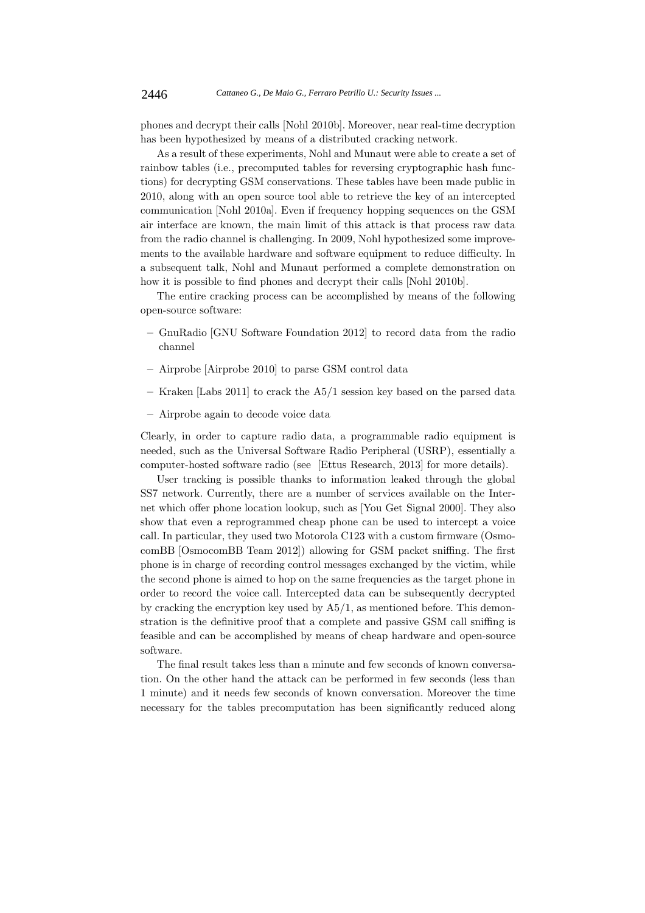phones and decrypt their calls [Nohl 2010b]. Moreover, near real-time decryption has been hypothesized by means of a distributed cracking network.

As a result of these experiments, Nohl and Munaut were able to create a set of rainbow tables (i.e., precomputed tables for reversing cryptographic hash functions) for decrypting GSM conservations. These tables have been made public in 2010, along with an open source tool able to retrieve the key of an intercepted communication [Nohl 2010a]. Even if frequency hopping sequences on the GSM air interface are known, the main limit of this attack is that process raw data from the radio channel is challenging. In 2009, Nohl hypothesized some improvements to the available hardware and software equipment to reduce difficulty. In a subsequent talk, Nohl and Munaut performed a complete demonstration on how it is possible to find phones and decrypt their calls [Nohl 2010b].

The entire cracking process can be accomplished by means of the following open-source software:

- **–** GnuRadio [GNU Software Foundation 2012] to record data from the radio channel
- **–** Airprobe [Airprobe 2010] to parse GSM control data
- **–** Kraken [Labs 2011] to crack the A5/1 session key based on the parsed data
- **–** Airprobe again to decode voice data

Clearly, in order to capture radio data, a programmable radio equipment is needed, such as the Universal Software Radio Peripheral (USRP), essentially a computer-hosted software radio (see [Ettus Research, 2013] for more details).

User tracking is possible thanks to information leaked through the global SS7 network. Currently, there are a number of services available on the Internet which offer phone location lookup, such as [You Get Signal 2000]. They also show that even a reprogrammed cheap phone can be used to intercept a voice call. In particular, they used two Motorola C123 with a custom firmware (OsmocomBB [OsmocomBB Team 2012]) allowing for GSM packet sniffing. The first phone is in charge of recording control messages exchanged by the victim, while the second phone is aimed to hop on the same frequencies as the target phone in order to record the voice call. Intercepted data can be subsequently decrypted by cracking the encryption key used by A5/1, as mentioned before. This demonstration is the definitive proof that a complete and passive GSM call sniffing is feasible and can be accomplished by means of cheap hardware and open-source software.

The final result takes less than a minute and few seconds of known conversation. On the other hand the attack can be performed in few seconds (less than 1 minute) and it needs few seconds of known conversation. Moreover the time necessary for the tables precomputation has been significantly reduced along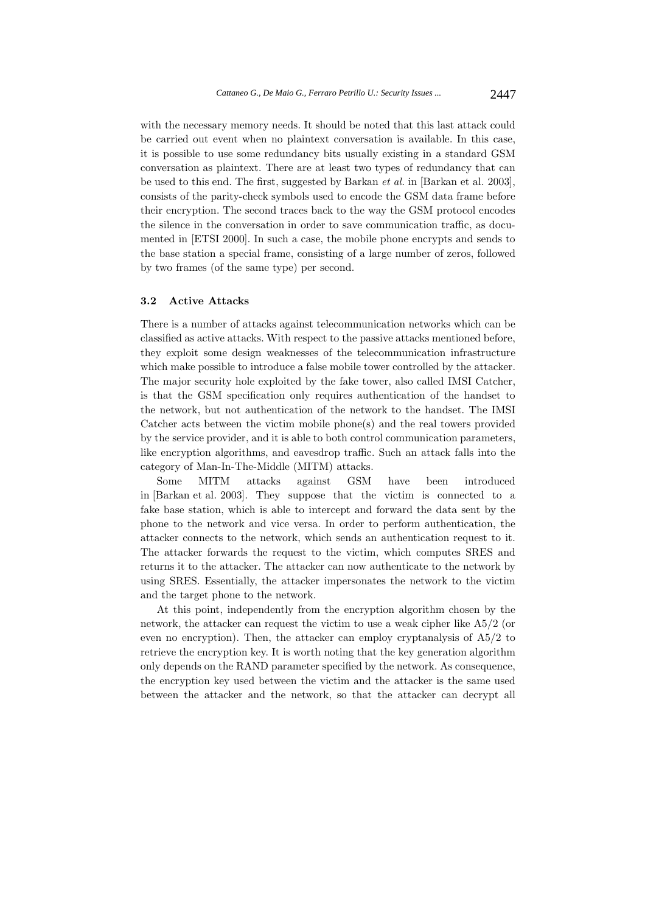with the necessary memory needs. It should be noted that this last attack could be carried out event when no plaintext conversation is available. In this case, it is possible to use some redundancy bits usually existing in a standard GSM conversation as plaintext. There are at least two types of redundancy that can be used to this end. The first, suggested by Barkan *et al.* in [Barkan et al. 2003], consists of the parity-check symbols used to encode the GSM data frame before their encryption. The second traces back to the way the GSM protocol encodes the silence in the conversation in order to save communication traffic, as documented in [ETSI 2000]. In such a case, the mobile phone encrypts and sends to the base station a special frame, consisting of a large number of zeros, followed by two frames (of the same type) per second.

# **3.2 Active Attacks**

There is a number of attacks against telecommunication networks which can be classified as active attacks. With respect to the passive attacks mentioned before, they exploit some design weaknesses of the telecommunication infrastructure which make possible to introduce a false mobile tower controlled by the attacker. The major security hole exploited by the fake tower, also called IMSI Catcher, is that the GSM specification only requires authentication of the handset to the network, but not authentication of the network to the handset. The IMSI Catcher acts between the victim mobile phone(s) and the real towers provided by the service provider, and it is able to both control communication parameters, like encryption algorithms, and eavesdrop traffic. Such an attack falls into the category of Man-In-The-Middle (MITM) attacks.

Some MITM attacks against GSM have been introduced in [Barkan et al. 2003]. They suppose that the victim is connected to a fake base station, which is able to intercept and forward the data sent by the phone to the network and vice versa. In order to perform authentication, the attacker connects to the network, which sends an authentication request to it. The attacker forwards the request to the victim, which computes SRES and returns it to the attacker. The attacker can now authenticate to the network by using SRES. Essentially, the attacker impersonates the network to the victim and the target phone to the network.

At this point, independently from the encryption algorithm chosen by the network, the attacker can request the victim to use a weak cipher like A5/2 (or even no encryption). Then, the attacker can employ cryptanalysis of A5/2 to retrieve the encryption key. It is worth noting that the key generation algorithm only depends on the RAND parameter specified by the network. As consequence, the encryption key used between the victim and the attacker is the same used between the attacker and the network, so that the attacker can decrypt all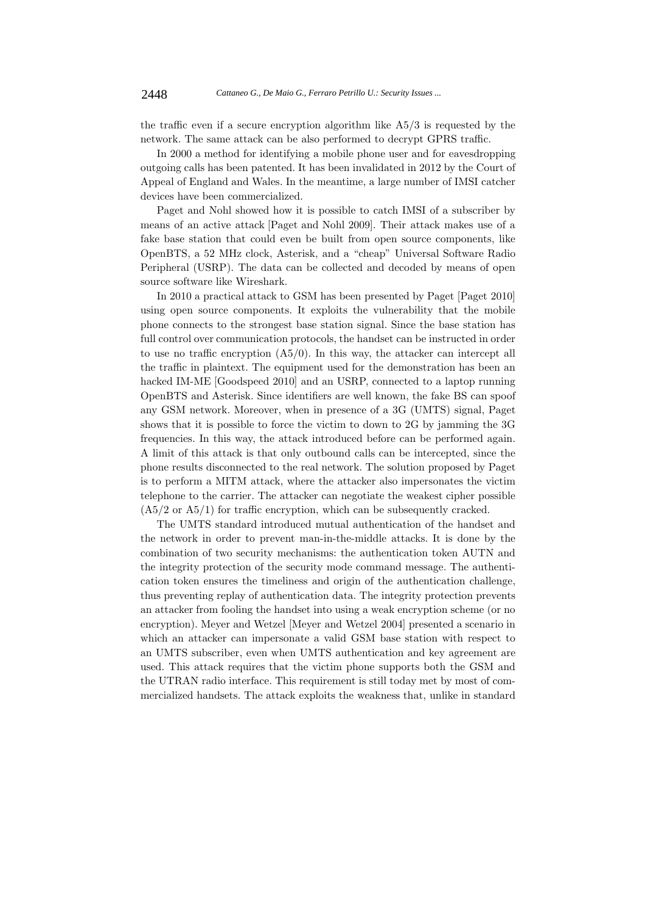the traffic even if a secure encryption algorithm like A5/3 is requested by the network. The same attack can be also performed to decrypt GPRS traffic.

In 2000 a method for identifying a mobile phone user and for eavesdropping outgoing calls has been patented. It has been invalidated in 2012 by the Court of Appeal of England and Wales. In the meantime, a large number of IMSI catcher devices have been commercialized.

Paget and Nohl showed how it is possible to catch IMSI of a subscriber by means of an active attack [Paget and Nohl 2009]. Their attack makes use of a fake base station that could even be built from open source components, like OpenBTS, a 52 MHz clock, Asterisk, and a "cheap" Universal Software Radio Peripheral (USRP). The data can be collected and decoded by means of open source software like Wireshark.

In 2010 a practical attack to GSM has been presented by Paget [Paget 2010] using open source components. It exploits the vulnerability that the mobile phone connects to the strongest base station signal. Since the base station has full control over communication protocols, the handset can be instructed in order to use no traffic encryption  $(A5/0)$ . In this way, the attacker can intercept all the traffic in plaintext. The equipment used for the demonstration has been an hacked IM-ME [Goodspeed 2010] and an USRP, connected to a laptop running OpenBTS and Asterisk. Since identifiers are well known, the fake BS can spoof any GSM network. Moreover, when in presence of a 3G (UMTS) signal, Paget shows that it is possible to force the victim to down to 2G by jamming the 3G frequencies. In this way, the attack introduced before can be performed again. A limit of this attack is that only outbound calls can be intercepted, since the phone results disconnected to the real network. The solution proposed by Paget is to perform a MITM attack, where the attacker also impersonates the victim telephone to the carrier. The attacker can negotiate the weakest cipher possible  $(A5/2 \text{ or } A5/1)$  for traffic encryption, which can be subsequently cracked.

The UMTS standard introduced mutual authentication of the handset and the network in order to prevent man-in-the-middle attacks. It is done by the combination of two security mechanisms: the authentication token AUTN and the integrity protection of the security mode command message. The authentication token ensures the timeliness and origin of the authentication challenge, thus preventing replay of authentication data. The integrity protection prevents an attacker from fooling the handset into using a weak encryption scheme (or no encryption). Meyer and Wetzel [Meyer and Wetzel 2004] presented a scenario in which an attacker can impersonate a valid GSM base station with respect to an UMTS subscriber, even when UMTS authentication and key agreement are used. This attack requires that the victim phone supports both the GSM and the UTRAN radio interface. This requirement is still today met by most of commercialized handsets. The attack exploits the weakness that, unlike in standard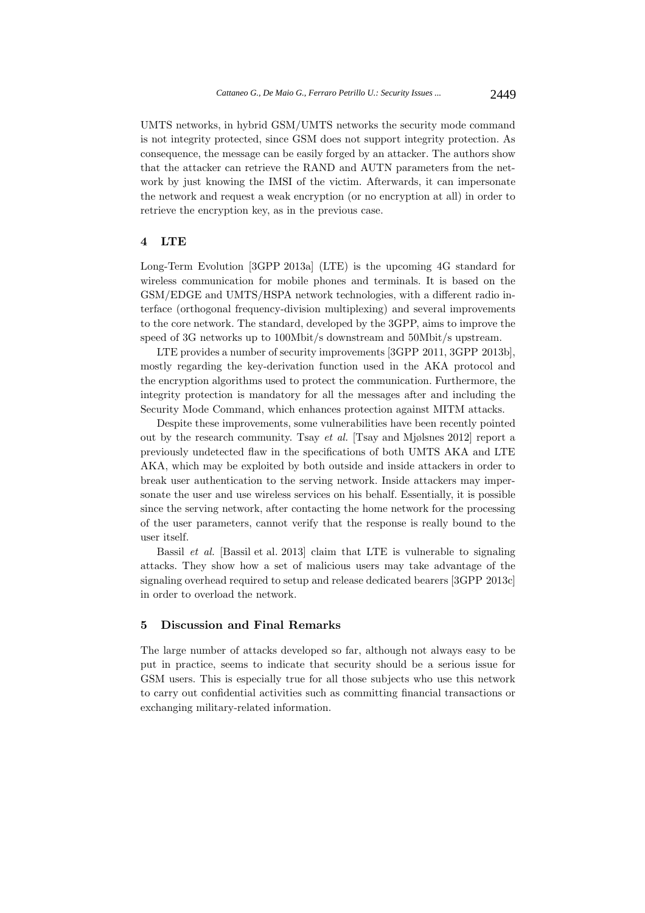UMTS networks, in hybrid GSM/UMTS networks the security mode command is not integrity protected, since GSM does not support integrity protection. As consequence, the message can be easily forged by an attacker. The authors show that the attacker can retrieve the RAND and AUTN parameters from the network by just knowing the IMSI of the victim. Afterwards, it can impersonate the network and request a weak encryption (or no encryption at all) in order to retrieve the encryption key, as in the previous case.

# **4 LTE**

Long-Term Evolution [3GPP 2013a] (LTE) is the upcoming 4G standard for wireless communication for mobile phones and terminals. It is based on the GSM/EDGE and UMTS/HSPA network technologies, with a different radio interface (orthogonal frequency-division multiplexing) and several improvements to the core network. The standard, developed by the 3GPP, aims to improve the speed of 3G networks up to 100Mbit/s downstream and 50Mbit/s upstream.

LTE provides a number of security improvements [3GPP 2011, 3GPP 2013b], mostly regarding the key-derivation function used in the AKA protocol and the encryption algorithms used to protect the communication. Furthermore, the integrity protection is mandatory for all the messages after and including the Security Mode Command, which enhances protection against MITM attacks.

Despite these improvements, some vulnerabilities have been recently pointed out by the research community. Tsay *et al.* [Tsay and Mjølsnes 2012] report a previously undetected flaw in the specifications of both UMTS AKA and LTE AKA, which may be exploited by both outside and inside attackers in order to break user authentication to the serving network. Inside attackers may impersonate the user and use wireless services on his behalf. Essentially, it is possible since the serving network, after contacting the home network for the processing of the user parameters, cannot verify that the response is really bound to the user itself.

Bassil *et al.* [Bassil et al. 2013] claim that LTE is vulnerable to signaling attacks. They show how a set of malicious users may take advantage of the signaling overhead required to setup and release dedicated bearers [3GPP 2013c] in order to overload the network.

# **5 Discussion and Final Remarks**

The large number of attacks developed so far, although not always easy to be put in practice, seems to indicate that security should be a serious issue for GSM users. This is especially true for all those subjects who use this network to carry out confidential activities such as committing financial transactions or exchanging military-related information.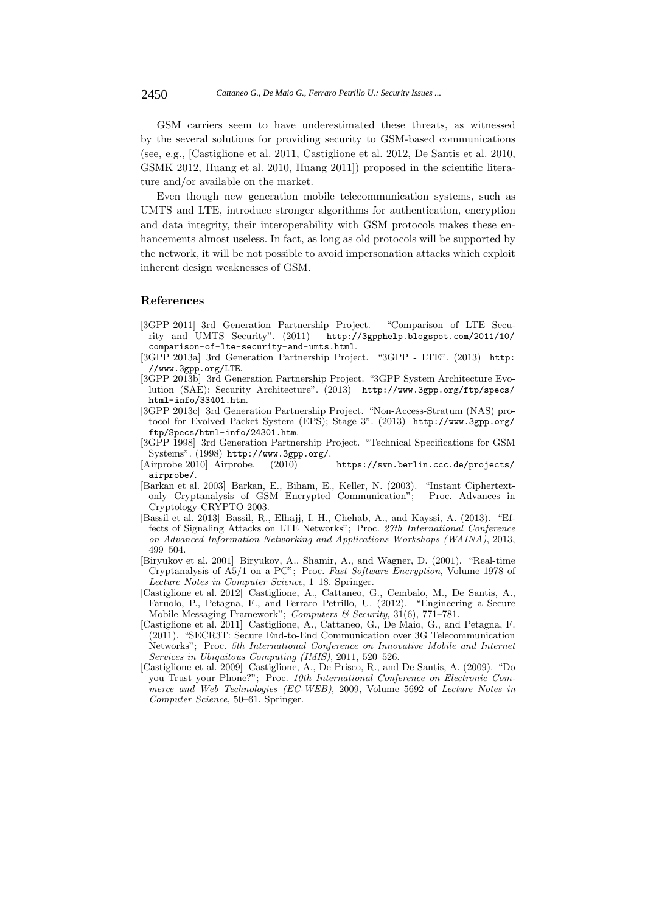GSM carriers seem to have underestimated these threats, as witnessed by the several solutions for providing security to GSM-based communications (see, e.g., [Castiglione et al. 2011, Castiglione et al. 2012, De Santis et al. 2010, GSMK 2012, Huang et al. 2010, Huang 2011]) proposed in the scientific literature and/or available on the market.

Even though new generation mobile telecommunication systems, such as UMTS and LTE, introduce stronger algorithms for authentication, encryption and data integrity, their interoperability with GSM protocols makes these enhancements almost useless. In fact, as long as old protocols will be supported by the network, it will be not possible to avoid impersonation attacks which exploit inherent design weaknesses of GSM.

# **References**

- [3GPP 2011] 3rd Generation Partnership Project. "Comparison of LTE Security and UMTS Security". (2011) http://3gpphelp.blogspot.com/2011/10/ comparison-of-lte-security-and-umts.html.
- [3GPP 2013a] 3rd Generation Partnership Project. "3GPP LTE". (2013) http: //www.3gpp.org/LTE.
- [3GPP 2013b] 3rd Generation Partnership Project. "3GPP System Architecture Evolution (SAE); Security Architecture". (2013) http://www.3gpp.org/ftp/specs/ html-info/33401.htm.
- [3GPP 2013c] 3rd Generation Partnership Project. "Non-Access-Stratum (NAS) protocol for Evolved Packet System (EPS); Stage 3". (2013) http://www.3gpp.org/ ftp/Specs/html-info/24301.htm.
- [3GPP 1998] 3rd Generation Partnership Project. "Technical Specifications for GSM Systems". (1998) http://www.3gpp.org/.
- [Airprobe 2010] Airprobe. (2010) https://svn.berlin.ccc.de/projects/ airprobe/.
- [Barkan et al. 2003] Barkan, E., Biham, E., Keller, N. (2003). "Instant Ciphertextonly Cryptanalysis of GSM Encrypted Communication"; Proc. Advances in Cryptology-CRYPTO 2003.
- [Bassil et al. 2013] Bassil, R., Elhajj, I. H., Chehab, A., and Kayssi, A. (2013). "Effects of Signaling Attacks on LTE Networks"; Proc. *27th International Conference on Advanced Information Networking and Applications Workshops (WAINA)*, 2013, 499–504.
- [Biryukov et al. 2001] Biryukov, A., Shamir, A., and Wagner, D. (2001). "Real-time Cryptanalysis of A5/1 on a PC"; Proc. *Fast Software Encryption*, Volume 1978 of *Lecture Notes in Computer Science*, 1–18. Springer.
- [Castiglione et al. 2012] Castiglione, A., Cattaneo, G., Cembalo, M., De Santis, A., Faruolo, P., Petagna, F., and Ferraro Petrillo, U. (2012). "Engineering a Secure Mobile Messaging Framework"; *Computers & Security*, 31(6), 771–781.
- [Castiglione et al. 2011] Castiglione, A., Cattaneo, G., De Maio, G., and Petagna, F. (2011). "SECR3T: Secure End-to-End Communication over 3G Telecommunication Networks"; Proc. *5th International Conference on Innovative Mobile and Internet Services in Ubiquitous Computing (IMIS)*, 2011, 520–526.
- [Castiglione et al. 2009] Castiglione, A., De Prisco, R., and De Santis, A. (2009). "Do you Trust your Phone?"; Proc. *10th International Conference on Electronic Commerce and Web Technologies (EC-WEB)*, 2009, Volume 5692 of *Lecture Notes in Computer Science*, 50–61. Springer.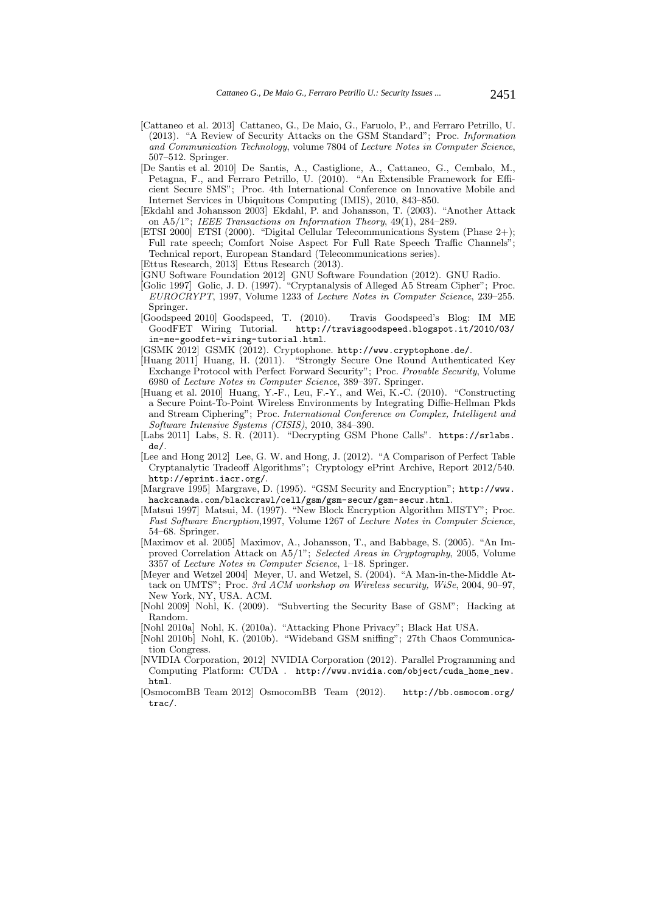- [Cattaneo et al. 2013] Cattaneo, G., De Maio, G., Faruolo, P., and Ferraro Petrillo, U. (2013). "A Review of Security Attacks on the GSM Standard"; Proc. *Information and Communication Technology*, volume 7804 of *Lecture Notes in Computer Science*, 507–512. Springer.
- [De Santis et al. 2010] De Santis, A., Castiglione, A., Cattaneo, G., Cembalo, M., Petagna, F., and Ferraro Petrillo, U. (2010). "An Extensible Framework for Efficient Secure SMS"; Proc. 4th International Conference on Innovative Mobile and Internet Services in Ubiquitous Computing (IMIS), 2010, 843–850.
- [Ekdahl and Johansson 2003] Ekdahl, P. and Johansson, T. (2003). "Another Attack on A5/1"; *IEEE Transactions on Information Theory*, 49(1), 284–289.
- [ETSI 2000] ETSI (2000). "Digital Cellular Telecommunications System (Phase 2+); Full rate speech; Comfort Noise Aspect For Full Rate Speech Traffic Channels"; Technical report, European Standard (Telecommunications series).
- [Ettus Research, 2013] Ettus Research (2013).
- [GNU Software Foundation 2012] GNU Software Foundation (2012). GNU Radio.
- [Golic 1997] Golic, J. D. (1997). "Cryptanalysis of Alleged A5 Stream Cipher"; Proc. *EUROCRYPT*, 1997, Volume 1233 of *Lecture Notes in Computer Science*, 239–255. Springer.
- [Goodspeed 2010] Goodspeed, T. (2010). Travis Goodspeed's Blog: IM ME GoodFET Wiring Tutorial. http://travisgoodspeed.blogspot.it/2010/03/ im-me-goodfet-wiring-tutorial.html.
- [GSMK 2012] GSMK (2012). Cryptophone. http://www.cryptophone.de/.
- [Huang 2011] Huang, H. (2011). "Strongly Secure One Round Authenticated Key Exchange Protocol with Perfect Forward Security"; Proc. *Provable Security*, Volume 6980 of *Lecture Notes in Computer Science*, 389–397. Springer.
- [Huang et al. 2010] Huang, Y.-F., Leu, F.-Y., and Wei, K.-C. (2010). "Constructing a Secure Point-To-Point Wireless Environments by Integrating Diffie-Hellman Pkds and Stream Ciphering"; Proc. *International Conference on Complex, Intelligent and Software Intensive Systems (CISIS)*, 2010, 384–390.
- [Labs 2011] Labs, S. R. (2011). "Decrypting GSM Phone Calls". https://srlabs. de/.
- [Lee and Hong 2012] Lee, G. W. and Hong, J. (2012). "A Comparison of Perfect Table Cryptanalytic Tradeoff Algorithms"; Cryptology ePrint Archive, Report 2012/540. http://eprint.iacr.org/.
- [Margrave 1995] Margrave, D. (1995). "GSM Security and Encryption"; http://www. hackcanada.com/blackcrawl/cell/gsm/gsm-secur/gsm-secur.html.
- [Matsui 1997] Matsui, M. (1997). "New Block Encryption Algorithm MISTY"; Proc. *Fast Software Encryption*,1997, Volume 1267 of *Lecture Notes in Computer Science*, 54–68. Springer.
- [Maximov et al. 2005] Maximov, A., Johansson, T., and Babbage, S. (2005). "An Improved Correlation Attack on A5/1"; *Selected Areas in Cryptography*, 2005, Volume 3357 of *Lecture Notes in Computer Science*, 1–18. Springer.
- [Meyer and Wetzel 2004] Meyer, U. and Wetzel, S. (2004). "A Man-in-the-Middle Attack on UMTS"; Proc. *3rd ACM workshop on Wireless security, WiSe*, 2004, 90–97, New York, NY, USA. ACM.
- [Nohl 2009] Nohl, K. (2009). "Subverting the Security Base of GSM"; Hacking at Random.
- [Nohl 2010a] Nohl, K. (2010a). "Attacking Phone Privacy"; Black Hat USA.
- [Nohl 2010b] Nohl, K. (2010b). "Wideband GSM sniffing"; 27th Chaos Communication Congress.
- [NVIDIA Corporation, 2012] NVIDIA Corporation (2012). Parallel Programming and Computing Platform: CUDA . http://www.nvidia.com/object/cuda\_home\_new. html.
- [OsmocomBB Team 2012] OsmocomBB Team (2012). http://bb.osmocom.org/ trac/.